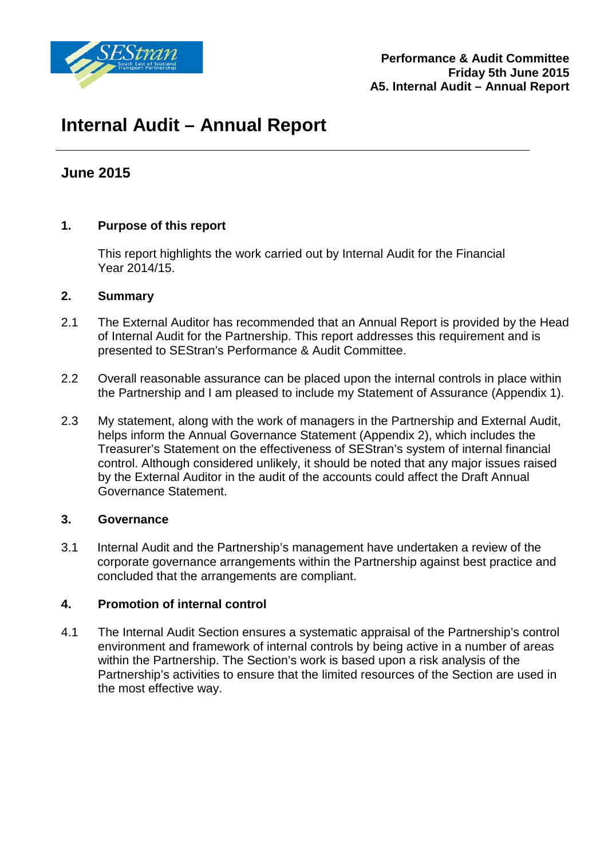

# **Internal Audit – Annual Report**

# **June 2015**

# **1. Purpose of this report**

This report highlights the work carried out by Internal Audit for the Financial Year 2014/15.

#### **2. Summary**

- 2.1 The External Auditor has recommended that an Annual Report is provided by the Head of Internal Audit for the Partnership. This report addresses this requirement and is presented to SEStran's Performance & Audit Committee.
- 2.2 Overall reasonable assurance can be placed upon the internal controls in place within the Partnership and I am pleased to include my Statement of Assurance (Appendix 1).
- 2.3 My statement, along with the work of managers in the Partnership and External Audit, helps inform the Annual Governance Statement (Appendix 2), which includes the Treasurer's Statement on the effectiveness of SEStran's system of internal financial control. Although considered unlikely, it should be noted that any major issues raised by the External Auditor in the audit of the accounts could affect the Draft Annual Governance Statement.

#### **3. Governance**

3.1 Internal Audit and the Partnership's management have undertaken a review of the corporate governance arrangements within the Partnership against best practice and concluded that the arrangements are compliant.

### **4. Promotion of internal control**

4.1 The Internal Audit Section ensures a systematic appraisal of the Partnership's control environment and framework of internal controls by being active in a number of areas within the Partnership. The Section's work is based upon a risk analysis of the Partnership's activities to ensure that the limited resources of the Section are used in the most effective way.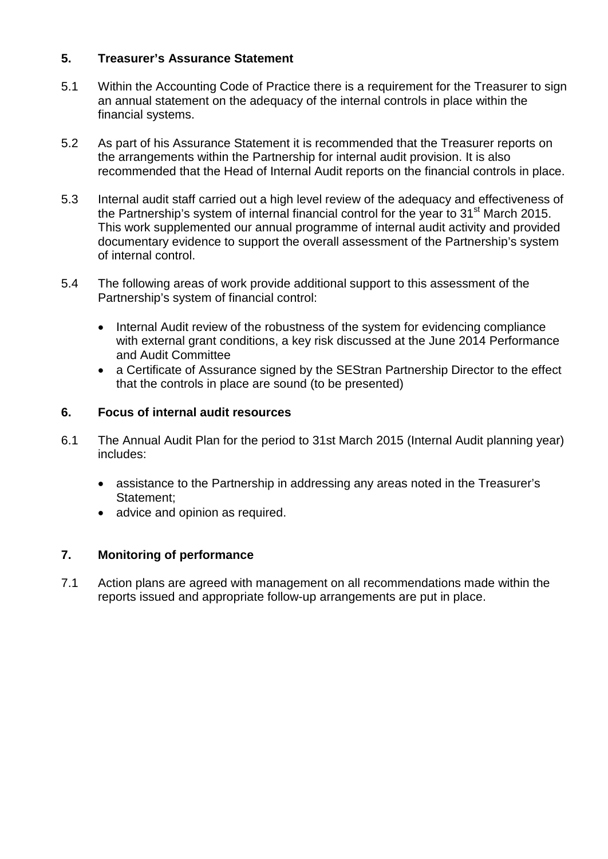## **5. Treasurer's Assurance Statement**

- 5.1 Within the Accounting Code of Practice there is a requirement for the Treasurer to sign an annual statement on the adequacy of the internal controls in place within the financial systems.
- 5.2 As part of his Assurance Statement it is recommended that the Treasurer reports on the arrangements within the Partnership for internal audit provision. It is also recommended that the Head of Internal Audit reports on the financial controls in place.
- 5.3 Internal audit staff carried out a high level review of the adequacy and effectiveness of the Partnership's system of internal financial control for the year to  $31<sup>st</sup>$  March 2015. This work supplemented our annual programme of internal audit activity and provided documentary evidence to support the overall assessment of the Partnership's system of internal control.
- 5.4 The following areas of work provide additional support to this assessment of the Partnership's system of financial control:
	- Internal Audit review of the robustness of the system for evidencing compliance with external grant conditions, a key risk discussed at the June 2014 Performance and Audit Committee
	- a Certificate of Assurance signed by the SEStran Partnership Director to the effect that the controls in place are sound (to be presented)

#### **6. Focus of internal audit resources**

- 6.1 The Annual Audit Plan for the period to 31st March 2015 (Internal Audit planning year) includes:
	- assistance to the Partnership in addressing any areas noted in the Treasurer's Statement;
	- advice and opinion as required.

# **7. Monitoring of performance**

7.1 Action plans are agreed with management on all recommendations made within the reports issued and appropriate follow-up arrangements are put in place.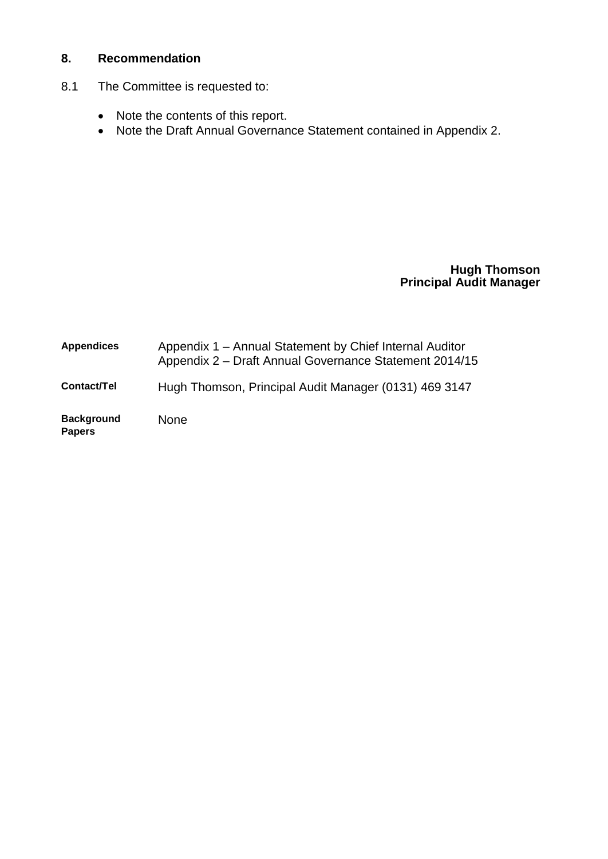# **8. Recommendation**

- 8.1 The Committee is requested to:
	- Note the contents of this report.
	- Note the Draft Annual Governance Statement contained in Appendix 2.

#### **Hugh Thomson Principal Audit Manager**

| <b>Appendices</b>                  | Appendix 1 – Annual Statement by Chief Internal Auditor<br>Appendix 2 – Draft Annual Governance Statement 2014/15 |
|------------------------------------|-------------------------------------------------------------------------------------------------------------------|
| Contact/Tel                        | Hugh Thomson, Principal Audit Manager (0131) 469 3147                                                             |
| <b>Background</b><br><b>Papers</b> | <b>None</b>                                                                                                       |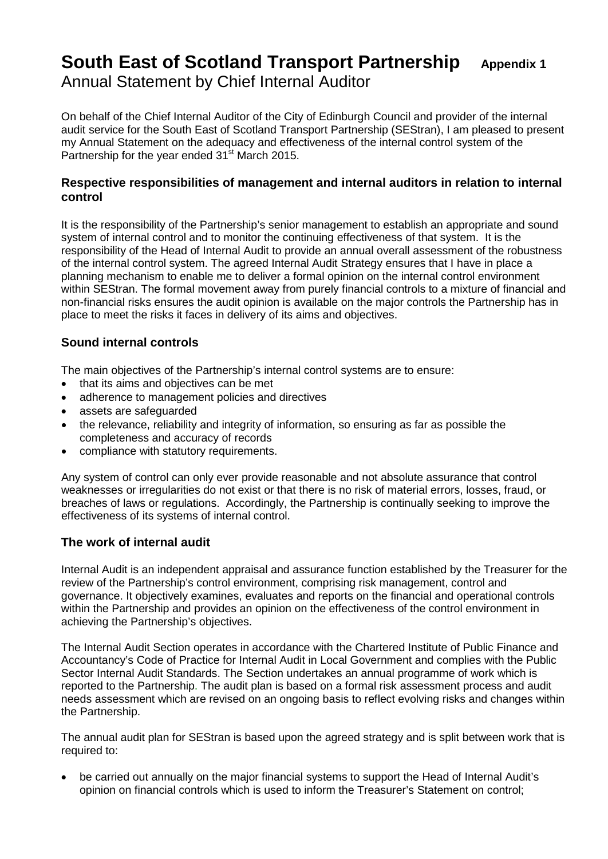# **South East of Scotland Transport Partnership** Appendix 1 Annual Statement by Chief Internal Auditor

 On behalf of the Chief Internal Auditor of the City of Edinburgh Council and provider of the internal audit service for the South East of Scotland Transport Partnership (SEStran), I am pleased to present my Annual Statement on the adequacy and effectiveness of the internal control system of the Partnership for the year ended 31<sup>st</sup> March 2015.

#### **Respective responsibilities of management and internal auditors in relation to internal control**

It is the responsibility of the Partnership's senior management to establish an appropriate and sound system of internal control and to monitor the continuing effectiveness of that system. It is the responsibility of the Head of Internal Audit to provide an annual overall assessment of the robustness of the internal control system. The agreed Internal Audit Strategy ensures that I have in place a planning mechanism to enable me to deliver a formal opinion on the internal control environment within SEStran. The formal movement away from purely financial controls to a mixture of financial and non-financial risks ensures the audit opinion is available on the major controls the Partnership has in place to meet the risks it faces in delivery of its aims and objectives.

### **Sound internal controls**

The main objectives of the Partnership's internal control systems are to ensure:

- that its aims and objectives can be met
- adherence to management policies and directives
- assets are safeguarded
- the relevance, reliability and integrity of information, so ensuring as far as possible the completeness and accuracy of records
- compliance with statutory requirements.

Any system of control can only ever provide reasonable and not absolute assurance that control weaknesses or irregularities do not exist or that there is no risk of material errors, losses, fraud, or breaches of laws or regulations. Accordingly, the Partnership is continually seeking to improve the effectiveness of its systems of internal control.

#### **The work of internal audit**

Internal Audit is an independent appraisal and assurance function established by the Treasurer for the review of the Partnership's control environment, comprising risk management, control and governance. It objectively examines, evaluates and reports on the financial and operational controls within the Partnership and provides an opinion on the effectiveness of the control environment in achieving the Partnership's objectives.

The Internal Audit Section operates in accordance with the Chartered Institute of Public Finance and Accountancy's Code of Practice for Internal Audit in Local Government and complies with the Public Sector Internal Audit Standards. The Section undertakes an annual programme of work which is reported to the Partnership. The audit plan is based on a formal risk assessment process and audit needs assessment which are revised on an ongoing basis to reflect evolving risks and changes within the Partnership.

The annual audit plan for SEStran is based upon the agreed strategy and is split between work that is required to:

• be carried out annually on the major financial systems to support the Head of Internal Audit's opinion on financial controls which is used to inform the Treasurer's Statement on control;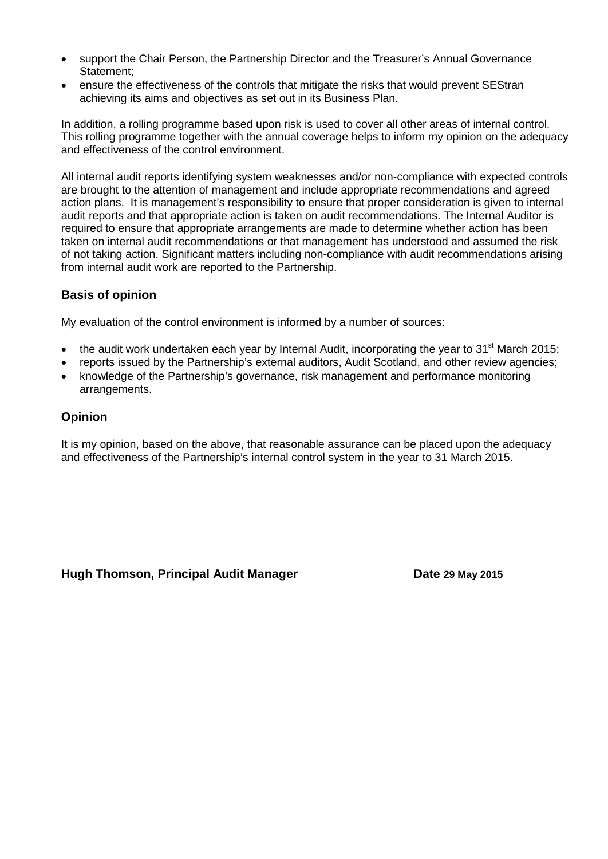- support the Chair Person, the Partnership Director and the Treasurer's Annual Governance Statement;
- ensure the effectiveness of the controls that mitigate the risks that would prevent SEStran achieving its aims and objectives as set out in its Business Plan.

In addition, a rolling programme based upon risk is used to cover all other areas of internal control. This rolling programme together with the annual coverage helps to inform my opinion on the adequacy and effectiveness of the control environment.

All internal audit reports identifying system weaknesses and/or non-compliance with expected controls are brought to the attention of management and include appropriate recommendations and agreed action plans. It is management's responsibility to ensure that proper consideration is given to internal audit reports and that appropriate action is taken on audit recommendations. The Internal Auditor is required to ensure that appropriate arrangements are made to determine whether action has been taken on internal audit recommendations or that management has understood and assumed the risk of not taking action. Significant matters including non-compliance with audit recommendations arising from internal audit work are reported to the Partnership.

#### **Basis of opinion**

My evaluation of the control environment is informed by a number of sources:

- the audit work undertaken each year by Internal Audit, incorporating the year to 31 $\mathrm{^{st}}$  March 2015;
- reports issued by the Partnership's external auditors, Audit Scotland, and other review agencies;
- knowledge of the Partnership's governance, risk management and performance monitoring arrangements.

#### **Opinion**

It is my opinion, based on the above, that reasonable assurance can be placed upon the adequacy and effectiveness of the Partnership's internal control system in the year to 31 March 2015.

Hugh Thomson, Principal Audit Manager **Date 29 May 2015**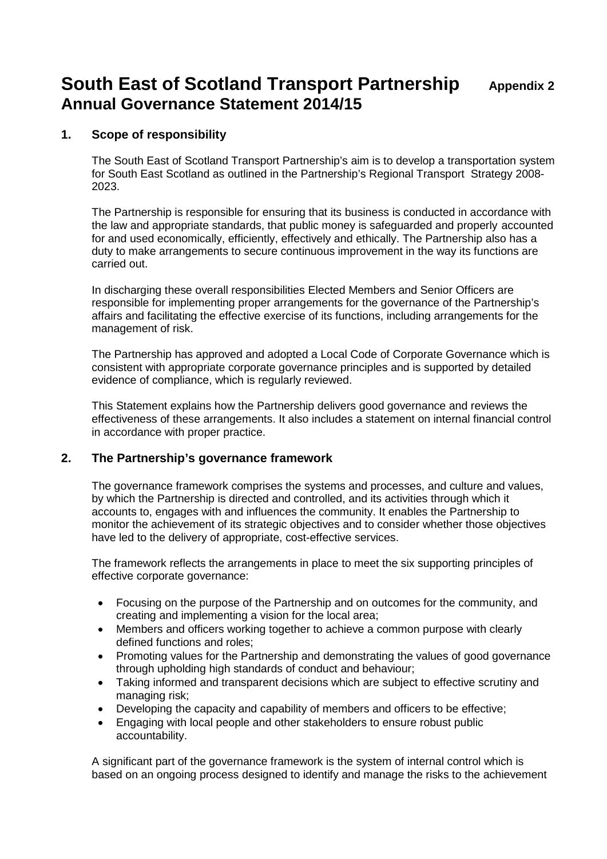## **1. Scope of responsibility**

The South East of Scotland Transport Partnership's aim is to develop a transportation system for South East Scotland as outlined in the Partnership's Regional Transport Strategy 2008- 2023.

The Partnership is responsible for ensuring that its business is conducted in accordance with the law and appropriate standards, that public money is safeguarded and properly accounted for and used economically, efficiently, effectively and ethically. The Partnership also has a duty to make arrangements to secure continuous improvement in the way its functions are carried out.

In discharging these overall responsibilities Elected Members and Senior Officers are responsible for implementing proper arrangements for the governance of the Partnership's affairs and facilitating the effective exercise of its functions, including arrangements for the management of risk.

The Partnership has approved and adopted a Local Code of Corporate Governance which is consistent with appropriate corporate governance principles and is supported by detailed evidence of compliance, which is regularly reviewed.

This Statement explains how the Partnership delivers good governance and reviews the effectiveness of these arrangements. It also includes a statement on internal financial control in accordance with proper practice.

#### **2. The Partnership's governance framework**

The governance framework comprises the systems and processes, and culture and values, by which the Partnership is directed and controlled, and its activities through which it accounts to, engages with and influences the community. It enables the Partnership to monitor the achievement of its strategic objectives and to consider whether those objectives have led to the delivery of appropriate, cost-effective services.

The framework reflects the arrangements in place to meet the six supporting principles of effective corporate governance:

- Focusing on the purpose of the Partnership and on outcomes for the community, and creating and implementing a vision for the local area;
- Members and officers working together to achieve a common purpose with clearly defined functions and roles;
- Promoting values for the Partnership and demonstrating the values of good governance through upholding high standards of conduct and behaviour;
- Taking informed and transparent decisions which are subject to effective scrutiny and managing risk;
- Developing the capacity and capability of members and officers to be effective;
- Engaging with local people and other stakeholders to ensure robust public accountability.

A significant part of the governance framework is the system of internal control which is based on an ongoing process designed to identify and manage the risks to the achievement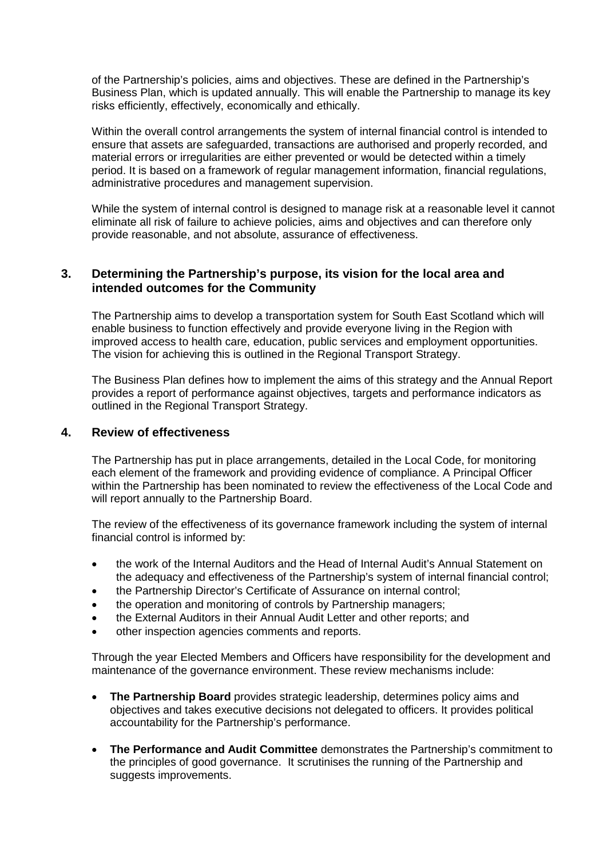of the Partnership's policies, aims and objectives. These are defined in the Partnership's Business Plan, which is updated annually. This will enable the Partnership to manage its key risks efficiently, effectively, economically and ethically.

Within the overall control arrangements the system of internal financial control is intended to ensure that assets are safeguarded, transactions are authorised and properly recorded, and material errors or irregularities are either prevented or would be detected within a timely period. It is based on a framework of regular management information, financial regulations, administrative procedures and management supervision.

While the system of internal control is designed to manage risk at a reasonable level it cannot eliminate all risk of failure to achieve policies, aims and objectives and can therefore only provide reasonable, and not absolute, assurance of effectiveness.

#### **3. Determining the Partnership's purpose, its vision for the local area and intended outcomes for the Community**

The Partnership aims to develop a transportation system for South East Scotland which will enable business to function effectively and provide everyone living in the Region with improved access to health care, education, public services and employment opportunities. The vision for achieving this is outlined in the Regional Transport Strategy.

The Business Plan defines how to implement the aims of this strategy and the Annual Report provides a report of performance against objectives, targets and performance indicators as outlined in the Regional Transport Strategy.

#### **4. Review of effectiveness**

The Partnership has put in place arrangements, detailed in the Local Code, for monitoring each element of the framework and providing evidence of compliance. A Principal Officer within the Partnership has been nominated to review the effectiveness of the Local Code and will report annually to the Partnership Board.

The review of the effectiveness of its governance framework including the system of internal financial control is informed by:

- the work of the Internal Auditors and the Head of Internal Audit's Annual Statement on the adequacy and effectiveness of the Partnership's system of internal financial control;
- the Partnership Director's Certificate of Assurance on internal control;
- the operation and monitoring of controls by Partnership managers;
- the External Auditors in their Annual Audit Letter and other reports; and
- other inspection agencies comments and reports.

Through the year Elected Members and Officers have responsibility for the development and maintenance of the governance environment. These review mechanisms include:

- **The Partnership Board** provides strategic leadership, determines policy aims and objectives and takes executive decisions not delegated to officers. It provides political accountability for the Partnership's performance.
- **The Performance and Audit Committee** demonstrates the Partnership's commitment to the principles of good governance. It scrutinises the running of the Partnership and suggests improvements.